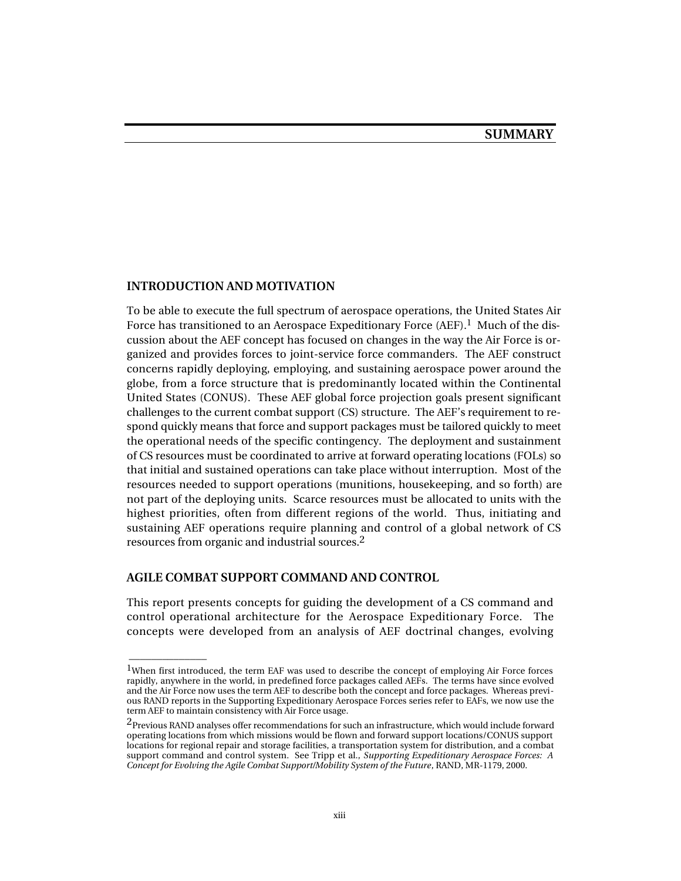### **INTRODUCTION AND MOTIVATION**

To be able to execute the full spectrum of aerospace operations, the United States Air Force has transitioned to an Aerospace Expeditionary Force (AEF).<sup>1</sup> Much of the discussion about the AEF concept has focused on changes in the way the Air Force is organized and provides forces to joint-service force commanders. The AEF construct concerns rapidly deploying, employing, and sustaining aerospace power around the globe, from a force structure that is predominantly located within the Continental United States (CONUS). These AEF global force projection goals present significant challenges to the current combat support (CS) structure. The AEF's requirement to respond quickly means that force and support packages must be tailored quickly to meet the operational needs of the specific contingency. The deployment and sustainment of CS resources must be coordinated to arrive at forward operating locations (FOLs) so that initial and sustained operations can take place without interruption. Most of the resources needed to support operations (munitions, housekeeping, and so forth) are not part of the deploying units. Scarce resources must be allocated to units with the highest priorities, often from different regions of the world. Thus, initiating and sustaining AEF operations require planning and control of a global network of CS resources from organic and industrial sources.2

### **AGILE COMBAT SUPPORT COMMAND AND CONTROL**

\_\_\_\_\_\_\_\_\_\_\_\_\_\_

This report presents concepts for guiding the development of a CS command and control operational architecture for the Aerospace Expeditionary Force. The concepts were developed from an analysis of AEF doctrinal changes, evolving

<sup>&</sup>lt;sup>1</sup>When first introduced, the term EAF was used to describe the concept of employing Air Force forces rapidly, anywhere in the world, in predefined force packages called AEFs. The terms have since evolved and the Air Force now uses the term AEF to describe both the concept and force packages. Whereas previous RAND reports in the Supporting Expeditionary Aerospace Forces series refer to EAFs, we now use the term AEF to maintain consistency with Air Force usage.

<sup>&</sup>lt;sup>2</sup>Previous RAND analyses offer recommendations for such an infrastructure, which would include forward operating locations from which missions would be flown and forward support locations/CONUS support locations for regional repair and storage facilities, a transportation system for distribution, and a combat support command and control system. See Tripp et al., *Supporting Expeditionary Aerospace Forces: A Concept for Evolving the Agile Combat Support/Mobility System of the Future*, RAND, MR-1179, 2000.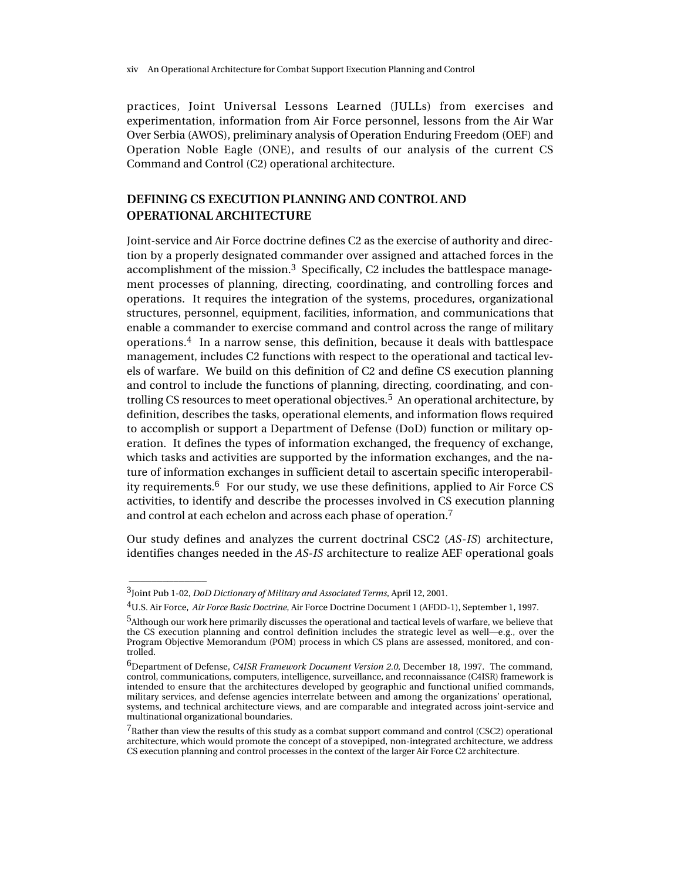practices, Joint Universal Lessons Learned (JULLs) from exercises and experimentation, information from Air Force personnel, lessons from the Air War Over Serbia (AWOS), preliminary analysis of Operation Enduring Freedom (OEF) and Operation Noble Eagle (ONE), and results of our analysis of the current CS Command and Control (C2) operational architecture.

## **DEFINING CS EXECUTION PLANNING AND CONTROL AND OPERATIONAL ARCHITECTURE**

Joint-service and Air Force doctrine defines C2 as the exercise of authority and direction by a properly designated commander over assigned and attached forces in the accomplishment of the mission.<sup>3</sup> Specifically, C2 includes the battlespace management processes of planning, directing, coordinating, and controlling forces and operations. It requires the integration of the systems, procedures, organizational structures, personnel, equipment, facilities, information, and communications that enable a commander to exercise command and control across the range of military operations.<sup>4</sup> In a narrow sense, this definition, because it deals with battlespace management, includes C2 functions with respect to the operational and tactical levels of warfare. We build on this definition of C2 and define CS execution planning and control to include the functions of planning, directing, coordinating, and controlling CS resources to meet operational objectives.5 An operational architecture, by definition, describes the tasks, operational elements, and information flows required to accomplish or support a Department of Defense (DoD) function or military operation. It defines the types of information exchanged, the frequency of exchange, which tasks and activities are supported by the information exchanges, and the nature of information exchanges in sufficient detail to ascertain specific interoperability requirements.<sup>6</sup> For our study, we use these definitions, applied to Air Force CS activities, to identify and describe the processes involved in CS execution planning and control at each echelon and across each phase of operation.7

Our study defines and analyzes the current doctrinal CSC2 (*AS-IS*) architecture, identifies changes needed in the *AS-IS* architecture to realize AEF operational goals

\_\_\_\_\_\_\_\_\_\_\_\_\_\_

<sup>3</sup>Joint Pub 1-02, *DoD Dictionary of Military and Associated Terms*, April 12, 2001.

<sup>4</sup>U.S. Air Force, *Air Force Basic Doctrine*, Air Force Doctrine Document 1 (AFDD-1), September 1, 1997.

<sup>5</sup>Although our work here primarily discusses the operational and tactical levels of warfare, we believe that the CS execution planning and control definition includes the strategic level as well—e.g., over the Program Objective Memorandum (POM) process in which CS plans are assessed, monitored, and controlled.

<sup>6</sup>Department of Defense, *C4ISR Framework Document Version 2.0*, December 18, 1997. The command, control, communications, computers, intelligence, surveillance, and reconnaissance (C4ISR) framework is intended to ensure that the architectures developed by geographic and functional unified commands, military services, and defense agencies interrelate between and among the organizations' operational, systems, and technical architecture views, and are comparable and integrated across joint-service and multinational organizational boundaries.

 $7R$ ather than view the results of this study as a combat support command and control (CSC2) operational architecture, which would promote the concept of a stovepiped, non-integrated architecture, we address CS execution planning and control processes in the context of the larger Air Force C2 architecture.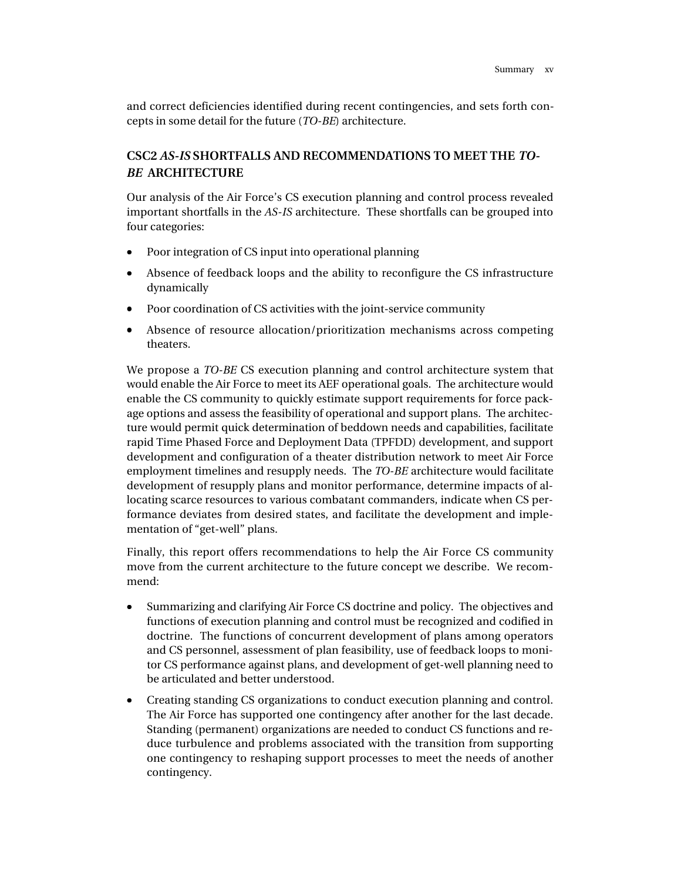and correct deficiencies identified during recent contingencies, and sets forth concepts in some detail for the future (*TO-BE*) architecture.

# **CSC2** *AS-IS* **SHORTFALLS AND RECOMMENDATIONS TO MEET THE** *TO-BE* **ARCHITECTURE**

Our analysis of the Air Force's CS execution planning and control process revealed important shortfalls in the *AS-IS* architecture. These shortfalls can be grouped into four categories:

- Poor integration of CS input into operational planning
- Absence of feedback loops and the ability to reconfigure the CS infrastructure dynamically
- Poor coordination of CS activities with the joint-service community
- Absence of resource allocation/prioritization mechanisms across competing theaters.

We propose a *TO-BE* CS execution planning and control architecture system that would enable the Air Force to meet its AEF operational goals. The architecture would enable the CS community to quickly estimate support requirements for force package options and assess the feasibility of operational and support plans. The architecture would permit quick determination of beddown needs and capabilities, facilitate rapid Time Phased Force and Deployment Data (TPFDD) development, and support development and configuration of a theater distribution network to meet Air Force employment timelines and resupply needs. The *TO-BE* architecture would facilitate development of resupply plans and monitor performance, determine impacts of allocating scarce resources to various combatant commanders, indicate when CS performance deviates from desired states, and facilitate the development and implementation of "get-well" plans.

Finally, this report offers recommendations to help the Air Force CS community move from the current architecture to the future concept we describe. We recommend:

- Summarizing and clarifying Air Force CS doctrine and policy. The objectives and functions of execution planning and control must be recognized and codified in doctrine. The functions of concurrent development of plans among operators and CS personnel, assessment of plan feasibility, use of feedback loops to monitor CS performance against plans, and development of get-well planning need to be articulated and better understood.
- Creating standing CS organizations to conduct execution planning and control. The Air Force has supported one contingency after another for the last decade. Standing (permanent) organizations are needed to conduct CS functions and reduce turbulence and problems associated with the transition from supporting one contingency to reshaping support processes to meet the needs of another contingency.